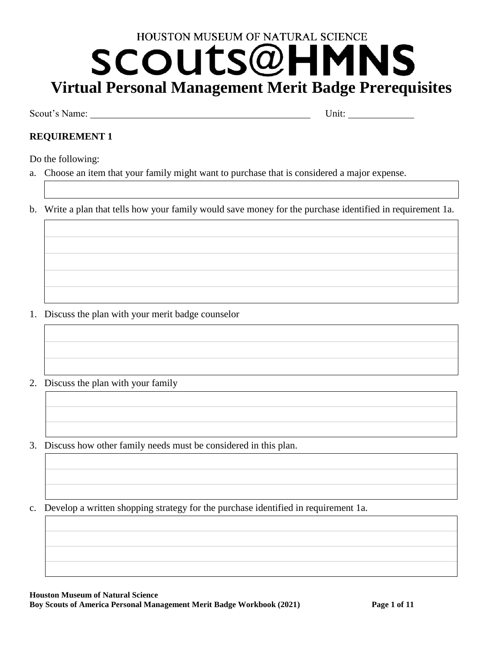# HOUSTON MUSEUM OF NATURAL SCIENCE SCOUts@H NS **Virtual Personal Management Merit Badge Prerequisites**

Scout's Name: Unit:

# **REQUIREMENT 1**

Do the following:

a. Choose an item that your family might want to purchase that is considered a major expense.

b. Write a plan that tells how your family would save money for the purchase identified in requirement 1a.

- 1. Discuss the plan with your merit badge counselor
- 2. Discuss the plan with your family
- 3. Discuss how other family needs must be considered in this plan.
- c. Develop a written shopping strategy for the purchase identified in requirement 1a.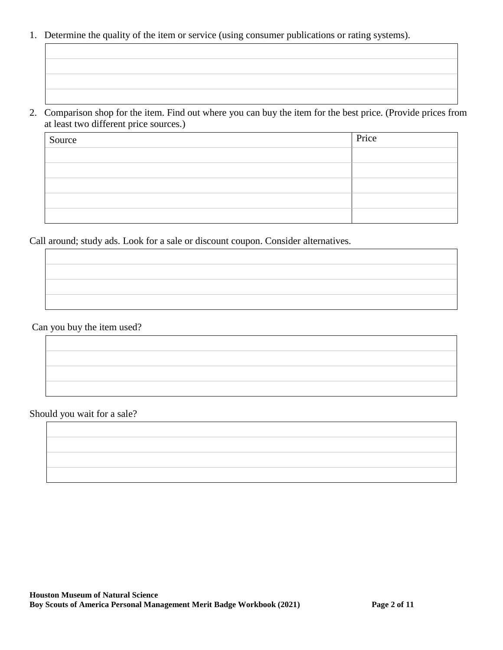- 1. Determine the quality of the item or service (using consumer publications or rating systems).
- 2. Comparison shop for the item. Find out where you can buy the item for the best price. (Provide prices from at least two different price sources.)

| Source | Price |
|--------|-------|
|        |       |
|        |       |
|        |       |
|        |       |
|        |       |

Call around; study ads. Look for a sale or discount coupon. Consider alternatives.

Can you buy the item used?

Should you wait for a sale?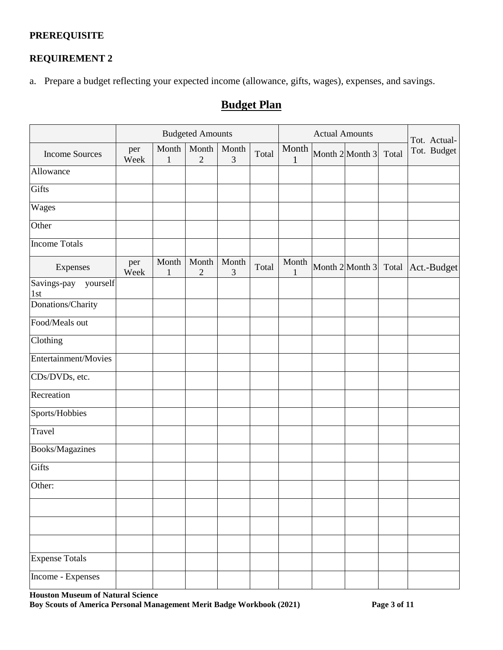### **PREREQUISITE**

## **REQUIREMENT 2**

a. Prepare a budget reflecting your expected income (allowance, gifts, wages), expenses, and savings.

# **Budget Plan**

|                                |             |                       | <b>Budgeted Amounts</b> |            |       |                       | <b>Actual Amounts</b> |                     |       | Tot. Actual- |
|--------------------------------|-------------|-----------------------|-------------------------|------------|-------|-----------------------|-----------------------|---------------------|-------|--------------|
| <b>Income Sources</b>          | per<br>Week | Month<br>$\mathbf{1}$ | Month<br>$\mathbf{2}$   | Month<br>3 | Total | Month<br>1            |                       | Month $2$ Month $3$ | Total | Tot. Budget  |
| Allowance                      |             |                       |                         |            |       |                       |                       |                     |       |              |
| Gifts                          |             |                       |                         |            |       |                       |                       |                     |       |              |
| Wages                          |             |                       |                         |            |       |                       |                       |                     |       |              |
| Other                          |             |                       |                         |            |       |                       |                       |                     |       |              |
| <b>Income Totals</b>           |             |                       |                         |            |       |                       |                       |                     |       |              |
| Expenses                       | per<br>Week | Month<br>$\mathbf{1}$ | Month<br>$\sqrt{2}$     | Month<br>3 | Total | Month<br>$\mathbf{1}$ |                       | Month $2$ Month $3$ | Total | Act.-Budget  |
| Savings-pay<br>yourself<br>1st |             |                       |                         |            |       |                       |                       |                     |       |              |
| Donations/Charity              |             |                       |                         |            |       |                       |                       |                     |       |              |
| Food/Meals out                 |             |                       |                         |            |       |                       |                       |                     |       |              |
| Clothing                       |             |                       |                         |            |       |                       |                       |                     |       |              |
| Entertainment/Movies           |             |                       |                         |            |       |                       |                       |                     |       |              |
| CDs/DVDs, etc.                 |             |                       |                         |            |       |                       |                       |                     |       |              |
| Recreation                     |             |                       |                         |            |       |                       |                       |                     |       |              |
| Sports/Hobbies                 |             |                       |                         |            |       |                       |                       |                     |       |              |
| Travel                         |             |                       |                         |            |       |                       |                       |                     |       |              |
| Books/Magazines                |             |                       |                         |            |       |                       |                       |                     |       |              |
| Gifts                          |             |                       |                         |            |       |                       |                       |                     |       |              |
| Other:                         |             |                       |                         |            |       |                       |                       |                     |       |              |
|                                |             |                       |                         |            |       |                       |                       |                     |       |              |
|                                |             |                       |                         |            |       |                       |                       |                     |       |              |
|                                |             |                       |                         |            |       |                       |                       |                     |       |              |
| <b>Expense Totals</b>          |             |                       |                         |            |       |                       |                       |                     |       |              |
| Income - Expenses              |             |                       |                         |            |       |                       |                       |                     |       |              |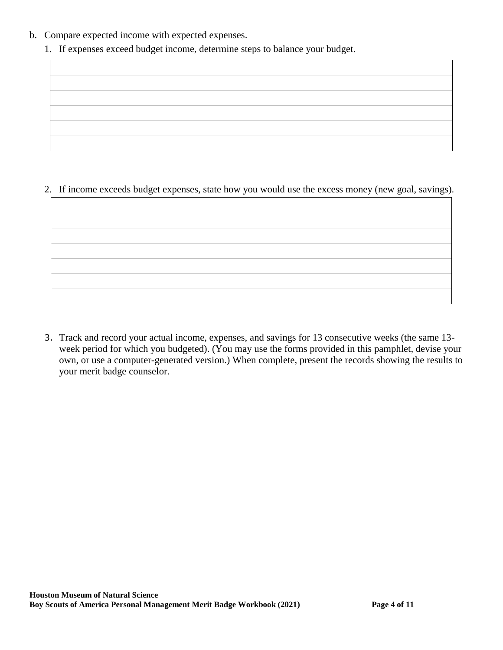- b. Compare expected income with expected expenses.
	- 1. If expenses exceed budget income, determine steps to balance your budget.





3. Track and record your actual income, expenses, and savings for 13 consecutive weeks (the same 13 week period for which you budgeted). (You may use the forms provided in this pamphlet, devise your own, or use a computer-generated version.) When complete, present the records showing the results to your merit badge counselor.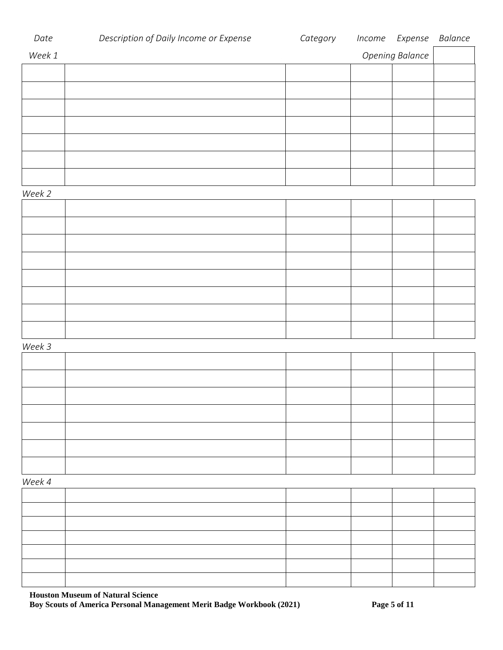| Date   | Description of Daily Income or Expense | Category | Income | Expense Balance        |  |
|--------|----------------------------------------|----------|--------|------------------------|--|
| Week 1 |                                        |          |        | <b>Opening Balance</b> |  |
|        |                                        |          |        |                        |  |
|        |                                        |          |        |                        |  |
|        |                                        |          |        |                        |  |
|        |                                        |          |        |                        |  |
|        |                                        |          |        |                        |  |
|        |                                        |          |        |                        |  |
|        |                                        |          |        |                        |  |
|        |                                        |          |        |                        |  |
| Week 2 |                                        |          |        |                        |  |
|        |                                        |          |        |                        |  |
|        |                                        |          |        |                        |  |
|        |                                        |          |        |                        |  |
|        |                                        |          |        |                        |  |
|        |                                        |          |        |                        |  |
|        |                                        |          |        |                        |  |
|        |                                        |          |        |                        |  |
|        |                                        |          |        |                        |  |
|        |                                        |          |        |                        |  |
|        |                                        |          |        |                        |  |
| Week 3 |                                        |          |        |                        |  |
|        |                                        |          |        |                        |  |
|        |                                        |          |        |                        |  |
|        |                                        |          |        |                        |  |
|        |                                        |          |        |                        |  |
|        |                                        |          |        |                        |  |
|        |                                        |          |        |                        |  |
|        |                                        |          |        |                        |  |
|        |                                        |          |        |                        |  |
| Week 4 |                                        |          |        |                        |  |
|        |                                        |          |        |                        |  |
|        |                                        |          |        |                        |  |
|        |                                        |          |        |                        |  |
|        |                                        |          |        |                        |  |
|        |                                        |          |        |                        |  |
|        |                                        |          |        |                        |  |

**Houston Museum of Natural Science Boy Scouts of America Personal Management Merit Badge Workbook (2021) Page 5 of 11**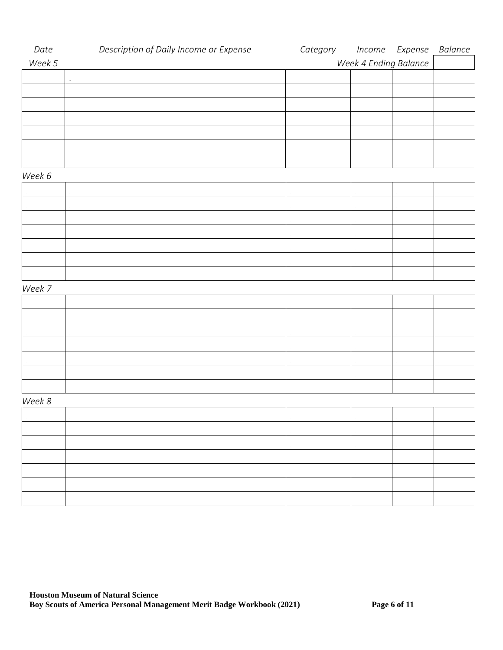| Date   | Description of Daily Income or Expense | Category Income Expense |                       | Balance |
|--------|----------------------------------------|-------------------------|-----------------------|---------|
| Week 5 |                                        |                         | Week 4 Ending Balance |         |
|        | $\bullet$                              |                         |                       |         |
|        |                                        |                         |                       |         |
|        |                                        |                         |                       |         |
|        |                                        |                         |                       |         |
|        |                                        |                         |                       |         |
|        |                                        |                         |                       |         |
|        |                                        |                         |                       |         |
| Week 6 |                                        |                         |                       |         |
|        |                                        |                         |                       |         |
|        |                                        |                         |                       |         |
|        |                                        |                         |                       |         |
|        |                                        |                         |                       |         |
|        |                                        |                         |                       |         |
|        |                                        |                         |                       |         |
|        |                                        |                         |                       |         |
| Week 7 |                                        |                         |                       |         |
|        |                                        |                         |                       |         |
|        |                                        |                         |                       |         |
|        |                                        |                         |                       |         |
|        |                                        |                         |                       |         |
|        |                                        |                         |                       |         |
|        |                                        |                         |                       |         |
|        |                                        |                         |                       |         |
| Week 8 |                                        |                         |                       |         |
|        |                                        |                         |                       |         |
|        |                                        |                         |                       |         |
|        |                                        |                         |                       |         |
|        |                                        |                         |                       |         |
|        |                                        |                         |                       |         |
|        |                                        |                         |                       |         |
|        |                                        |                         |                       |         |
|        |                                        |                         |                       |         |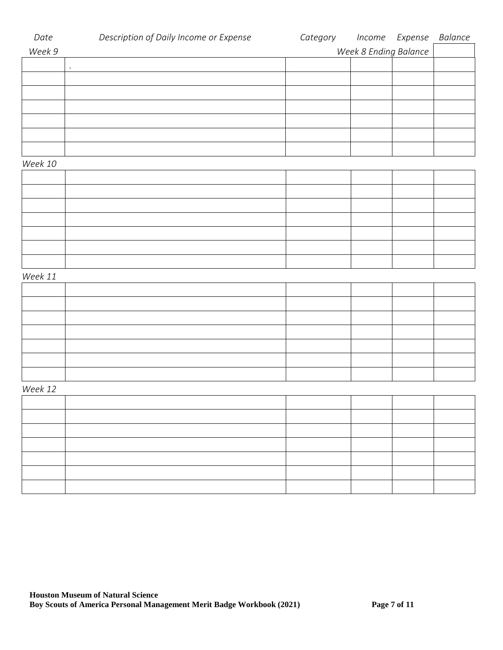| Date    | Description of Daily Income or Expense | Category | Income Expense        | Balance |
|---------|----------------------------------------|----------|-----------------------|---------|
| Week 9  |                                        |          | Week 8 Ending Balance |         |
|         | $\cdot$                                |          |                       |         |
|         |                                        |          |                       |         |
|         |                                        |          |                       |         |
|         |                                        |          |                       |         |
|         |                                        |          |                       |         |
|         |                                        |          |                       |         |
|         |                                        |          |                       |         |
| Week 10 |                                        |          |                       |         |
|         |                                        |          |                       |         |
|         |                                        |          |                       |         |
|         |                                        |          |                       |         |
|         |                                        |          |                       |         |
|         |                                        |          |                       |         |
|         |                                        |          |                       |         |
|         |                                        |          |                       |         |
| Week 11 |                                        |          |                       |         |
|         |                                        |          |                       |         |
|         |                                        |          |                       |         |
|         |                                        |          |                       |         |
|         |                                        |          |                       |         |
|         |                                        |          |                       |         |
|         |                                        |          |                       |         |
|         |                                        |          |                       |         |
| Week 12 |                                        |          |                       |         |
|         |                                        |          |                       |         |
|         |                                        |          |                       |         |
|         |                                        |          |                       |         |
|         |                                        |          |                       |         |
|         |                                        |          |                       |         |
|         |                                        |          |                       |         |
|         |                                        |          |                       |         |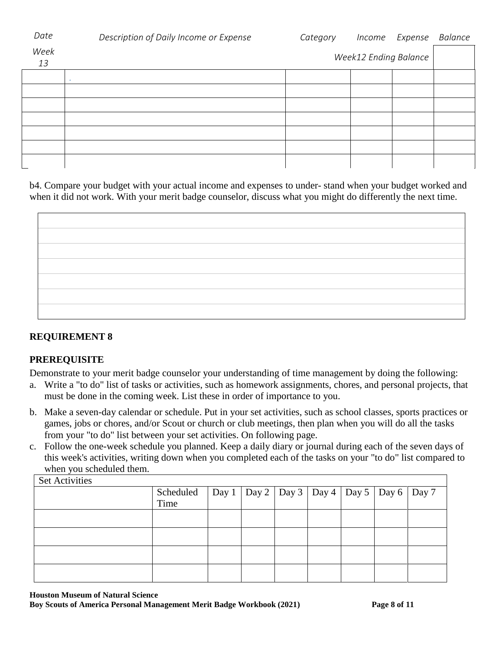| Date       | Description of Daily Income or Expense | Category |                              | Income Expense | Balance |
|------------|----------------------------------------|----------|------------------------------|----------------|---------|
| Week<br>13 |                                        |          | <b>Week12 Ending Balance</b> |                |         |
|            |                                        |          |                              |                |         |
|            |                                        |          |                              |                |         |
|            |                                        |          |                              |                |         |
|            |                                        |          |                              |                |         |
|            |                                        |          |                              |                |         |
|            |                                        |          |                              |                |         |
|            |                                        |          |                              |                |         |
|            |                                        |          |                              |                |         |

b4. Compare your budget with your actual income and expenses to under- stand when your budget worked and when it did not work. With your merit badge counselor, discuss what you might do differently the next time.

| ,我们也不会有什么?""我们的人,我们也不会不会不会。""我们的人,我们也不会不会不会不会。""我们的人,我们也不会不会不会不会。""我们的人,我们也不会不会不 |  |
|----------------------------------------------------------------------------------|--|
|                                                                                  |  |
|                                                                                  |  |
|                                                                                  |  |
|                                                                                  |  |
|                                                                                  |  |
|                                                                                  |  |
|                                                                                  |  |
|                                                                                  |  |
|                                                                                  |  |
|                                                                                  |  |
|                                                                                  |  |
|                                                                                  |  |
|                                                                                  |  |
|                                                                                  |  |
|                                                                                  |  |
|                                                                                  |  |

## **REQUIREMENT 8**

## **PREREQUISITE**

Demonstrate to your merit badge counselor your understanding of time management by doing the following:

- a. Write a "to do" list of tasks or activities, such as homework assignments, chores, and personal projects, that must be done in the coming week. List these in order of importance to you.
- b. Make a seven-day calendar or schedule. Put in your set activities, such as school classes, sports practices or games, jobs or chores, and/or Scout or church or club meetings, then plan when you will do all the tasks from your "to do" list between your set activities. On following page.
- c. Follow the one-week schedule you planned. Keep a daily diary or journal during each of the seven days of this week's activities, writing down when you completed each of the tasks on your "to do" list compared to when you scheduled them.

| <b>Set Activities</b> |                                                                   |  |  |  |  |  |  |
|-----------------------|-------------------------------------------------------------------|--|--|--|--|--|--|
|                       | Scheduled   Day 1   Day 2   Day 3   Day 4   Day 5   Day 6   Day 7 |  |  |  |  |  |  |
|                       | Time                                                              |  |  |  |  |  |  |
|                       |                                                                   |  |  |  |  |  |  |
|                       |                                                                   |  |  |  |  |  |  |
|                       |                                                                   |  |  |  |  |  |  |
|                       |                                                                   |  |  |  |  |  |  |
|                       |                                                                   |  |  |  |  |  |  |

**Houston Museum of Natural Science Boy Scouts of America Personal Management Merit Badge Workbook (2021) Page 8 of 11**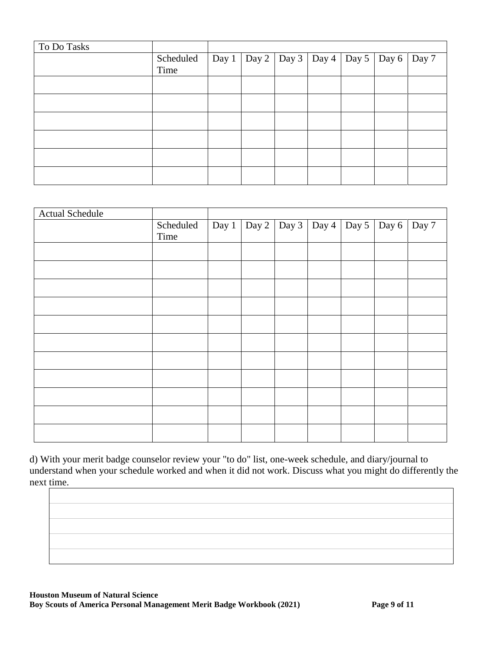| To Do Tasks |           |  |  |                                                       |  |
|-------------|-----------|--|--|-------------------------------------------------------|--|
|             | Scheduled |  |  | Day 1   Day 2   Day 3   Day 4   Day 5   Day 6   Day 7 |  |
|             | Time      |  |  |                                                       |  |
|             |           |  |  |                                                       |  |
|             |           |  |  |                                                       |  |
|             |           |  |  |                                                       |  |
|             |           |  |  |                                                       |  |
|             |           |  |  |                                                       |  |
|             |           |  |  |                                                       |  |

| <b>Actual Schedule</b> |                   |  |                                               |  |       |
|------------------------|-------------------|--|-----------------------------------------------|--|-------|
|                        | Scheduled<br>Time |  | Day 1   Day 2   Day 3   Day 4   Day 5   Day 6 |  | Day 7 |
|                        |                   |  |                                               |  |       |
|                        |                   |  |                                               |  |       |
|                        |                   |  |                                               |  |       |
|                        |                   |  |                                               |  |       |
|                        |                   |  |                                               |  |       |
|                        |                   |  |                                               |  |       |
|                        |                   |  |                                               |  |       |
|                        |                   |  |                                               |  |       |
|                        |                   |  |                                               |  |       |
|                        |                   |  |                                               |  |       |
|                        |                   |  |                                               |  |       |

d) With your merit badge counselor review your "to do" list, one-week schedule, and diary/journal to understand when your schedule worked and when it did not work. Discuss what you might do differently the next time.

**Houston Museum of Natural Science Boy Scouts of America Personal Management Merit Badge Workbook (2021) Page 9 of 11**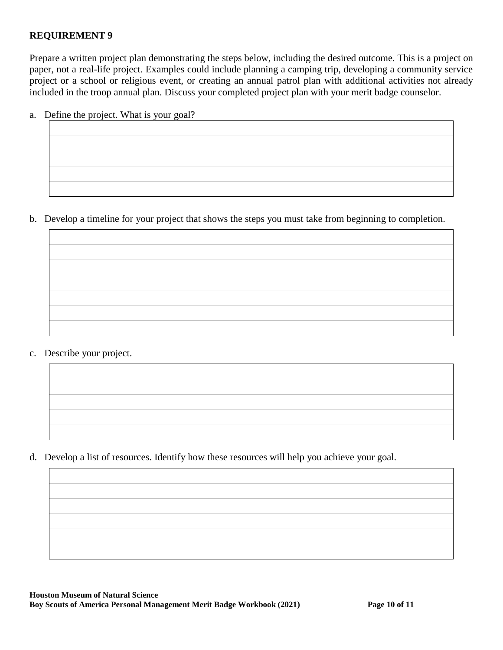### **REQUIREMENT 9**

Prepare a written project plan demonstrating the steps below, including the desired outcome. This is a project on paper, not a real-life project. Examples could include planning a camping trip, developing a community service project or a school or religious event, or creating an annual patrol plan with additional activities not already included in the troop annual plan. Discuss your completed project plan with your merit badge counselor.

a. Define the project. What is your goal?

| ,我们也不会有什么?""我们的人,我们也不会不会不会。""我们的人,我们也不会不会不会不会不会不会不会。""我们的人,我们也不会不会不会不会不会不会不会不会不会 |  |  |
|----------------------------------------------------------------------------------|--|--|
| ,我们也不会有什么?""我们的人,我们也不会有什么?""我们的人,我们也不会有什么?""我们的人,我们也不会有什么?""我们的人,我们也不会有什么?""我们的人 |  |  |
|                                                                                  |  |  |

b. Develop a timeline for your project that shows the steps you must take from beginning to completion.

c. Describe your project.



d. Develop a list of resources. Identify how these resources will help you achieve your goal.